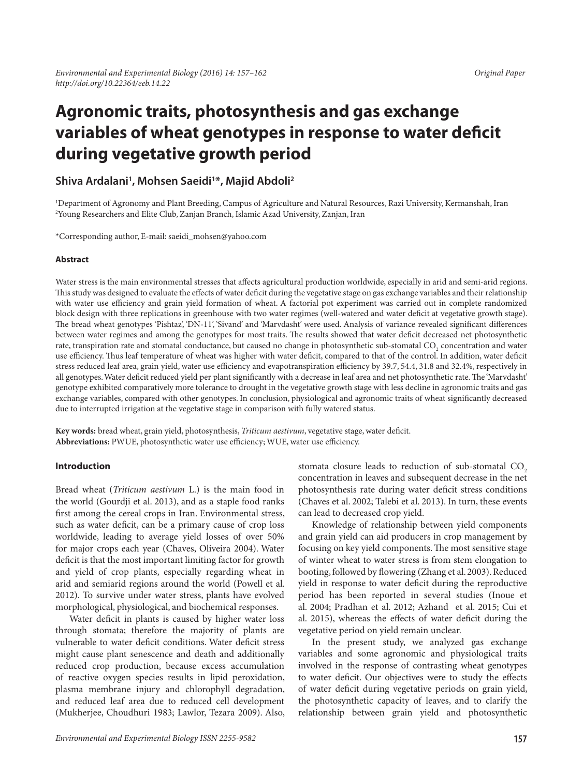# **Agronomic traits, photosynthesis and gas exchange variables of wheat genotypes in response to water deficit during vegetative growth period**

# **Shiva Ardalani1 , Mohsen Saeidi1 \*, Majid Abdoli2**

1 Department of Agronomy and Plant Breeding, Campus of Agriculture and Natural Resources, Razi University, Kermanshah, Iran 2 Young Researchers and Elite Club, Zanjan Branch, Islamic Azad University, Zanjan, Iran

\*Corresponding author, E-mail: saeidi\_mohsen@yahoo.com

#### **Abstract**

Water stress is the main environmental stresses that affects agricultural production worldwide, especially in arid and semi-arid regions. This study was designed to evaluate the effects of water deficit during the vegetative stage on gas exchange variables and their relationship with water use efficiency and grain yield formation of wheat. A factorial pot experiment was carried out in complete randomized block design with three replications in greenhouse with two water regimes (well-watered and water deficit at vegetative growth stage). The bread wheat genotypes 'Pishtaz', 'DN-11', 'Sivand' and 'Marvdasht' were used. Analysis of variance revealed significant differences between water regimes and among the genotypes for most traits. The results showed that water deficit decreased net photosynthetic rate, transpiration rate and stomatal conductance, but caused no change in photosynthetic sub-stomatal CO<sub>2</sub> concentration and water use efficiency. Thus leaf temperature of wheat was higher with water deficit, compared to that of the control. In addition, water deficit stress reduced leaf area, grain yield, water use efficiency and evapotranspiration efficiency by 39.7, 54.4, 31.8 and 32.4%, respectively in all genotypes. Water deficit reduced yield per plant significantly with a decrease in leaf area and net photosynthetic rate. The 'Marvdasht' genotype exhibited comparatively more tolerance to drought in the vegetative growth stage with less decline in agronomic traits and gas exchange variables, compared with other genotypes. In conclusion, physiological and agronomic traits of wheat significantly decreased due to interrupted irrigation at the vegetative stage in comparison with fully watered status.

**Key words:** bread wheat, grain yield, photosynthesis, *Triticum aestivum*, vegetative stage, water deficit. **Abbreviations:** PWUE, photosynthetic water use efficiency; WUE, water use efficiency.

#### **Introduction**

Bread wheat (*Triticum aestivum* L.) is the main food in the world (Gourdji et al. 2013), and as a staple food ranks first among the cereal crops in Iran. Environmental stress, such as water deficit, can be a primary cause of crop loss worldwide, leading to average yield losses of over 50% for major crops each year (Chaves, Oliveira 2004). Water deficit is that the most important limiting factor for growth and yield of crop plants, especially regarding wheat in arid and semiarid regions around the world (Powell et al. 2012). To survive under water stress, plants have evolved morphological, physiological, and biochemical responses.

Water deficit in plants is caused by higher water loss through stomata; therefore the majority of plants are vulnerable to water deficit conditions. Water deficit stress might cause plant senescence and death and additionally reduced crop production, because excess accumulation of reactive oxygen species results in lipid peroxidation, plasma membrane injury and chlorophyll degradation, and reduced leaf area due to reduced cell development (Mukherjee, Choudhuri 1983; Lawlor, Tezara 2009). Also,

stomata closure leads to reduction of sub-stomatal CO<sub>2</sub> concentration in leaves and subsequent decrease in the net photosynthesis rate during water deficit stress conditions (Chaves et al. 2002; Talebi et al. 2013). In turn, these events can lead to decreased crop yield.

Knowledge of relationship between yield components and grain yield can aid producers in crop management by focusing on key yield components. The most sensitive stage of winter wheat to water stress is from stem elongation to booting, followed by flowering (Zhang et al. 2003). Reduced yield in response to water deficit during the reproductive period has been reported in several studies (Inoue et al. 2004; Pradhan et al. 2012; Azhand et al. 2015; Cui et al. 2015), whereas the effects of water deficit during the vegetative period on yield remain unclear.

In the present study, we analyzed gas exchange variables and some agronomic and physiological traits involved in the response of contrasting wheat genotypes to water deficit. Our objectives were to study the effects of water deficit during vegetative periods on grain yield, the photosynthetic capacity of leaves, and to clarify the relationship between grain yield and photosynthetic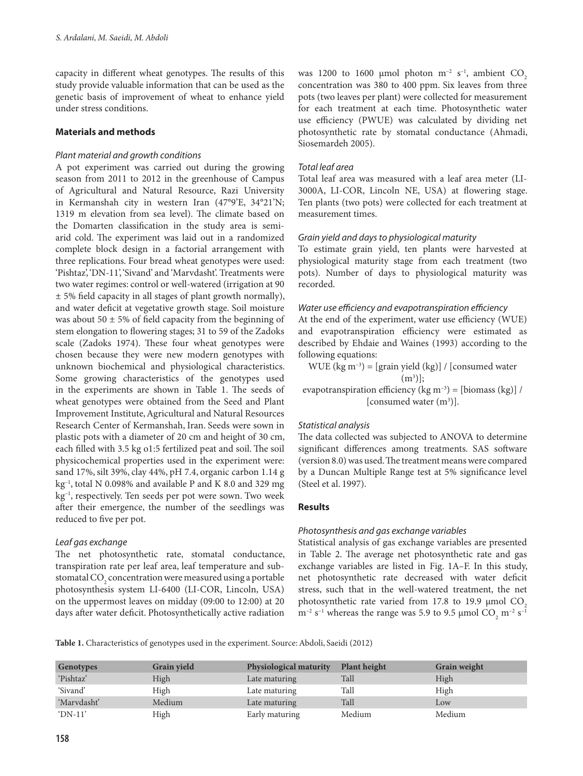capacity in different wheat genotypes. The results of this study provide valuable information that can be used as the genetic basis of improvement of wheat to enhance yield under stress conditions.

## **Materials and methods**

### *Plant material and growth conditions*

A pot experiment was carried out during the growing season from 2011 to 2012 in the greenhouse of Campus of Agricultural and Natural Resource, Razi University in Kermanshah city in western Iran (47°9'E, 34°21'N; 1319 m elevation from sea level). The climate based on the Domarten classification in the study area is semiarid cold. The experiment was laid out in a randomized complete block design in a factorial arrangement with three replications. Four bread wheat genotypes were used: 'Pishtaz', 'DN-11', 'Sivand' and 'Marvdasht'. Treatments were two water regimes: control or well-watered (irrigation at 90 ± 5% field capacity in all stages of plant growth normally), and water deficit at vegetative growth stage. Soil moisture was about 50  $\pm$  5% of field capacity from the beginning of stem elongation to flowering stages; 31 to 59 of the Zadoks scale (Zadoks 1974). These four wheat genotypes were chosen because they were new modern genotypes with unknown biochemical and physiological characteristics. Some growing characteristics of the genotypes used in the experiments are shown in Table 1. The seeds of wheat genotypes were obtained from the Seed and Plant Improvement Institute, Agricultural and Natural Resources Research Center of Kermanshah, Iran. Seeds were sown in plastic pots with a diameter of 20 cm and height of 30 cm, each filled with 3.5 kg o1:5 fertilized peat and soil. The soil physicochemical properties used in the experiment were: sand 17%, silt 39%, clay 44%, pH 7.4, organic carbon 1.14 g kg–1, total N 0.098% and available P and K 8.0 and 329 mg kg–1, respectively. Ten seeds per pot were sown. Two week after their emergence, the number of the seedlings was reduced to five per pot.

#### *Leaf gas exchange*

The net photosynthetic rate, stomatal conductance, transpiration rate per leaf area, leaf temperature and substomatal CO $_{\textrm{\tiny{2}}}$  concentration were measured using a portable photosynthesis system LI-6400 (LI-COR, Lincoln, USA) on the uppermost leaves on midday (09:00 to 12:00) at 20 days after water deficit. Photosynthetically active radiation

was 1200 to 1600 µmol photon  $m^{-2}$  s<sup>-1</sup>, ambient CO<sub>2</sub> concentration was 380 to 400 ppm. Six leaves from three pots (two leaves per plant) were collected for measurement for each treatment at each time. Photosynthetic water use efficiency (PWUE) was calculated by dividing net photosynthetic rate by stomatal conductance (Ahmadi, Siosemardeh 2005).

#### *Total leaf area*

Total leaf area was measured with a leaf area meter (LI-3000A, LI-COR, Lincoln NE, USA) at flowering stage. Ten plants (two pots) were collected for each treatment at measurement times.

### *Grain yield and days to physiological maturity*

To estimate grain yield, ten plants were harvested at physiological maturity stage from each treatment (two pots). Number of days to physiological maturity was recorded.

### *Water use efficiency and evapotranspiration efficiency*

At the end of the experiment, water use efficiency (WUE) and evapotranspiration efficiency were estimated as described by Ehdaie and Waines (1993) according to the following equations:

WUE (kg  $m^{-3}$ ) = [grain yield (kg)] / [consumed water  $(m^3)$ ]; evapotranspiration efficiency (kg m<sup>-3</sup>) = [biomass (kg)] / [consumed water  $(m^3)$ ].

#### *Statistical analysis*

The data collected was subjected to ANOVA to determine significant differences among treatments. SAS software (version 8.0) was used. The treatment means were compared by a Duncan Multiple Range test at 5% significance level (Steel et al. 1997).

#### **Results**

# *Photosynthesis and gas exchange variables*

Statistical analysis of gas exchange variables are presented in Table 2. The average net photosynthetic rate and gas exchange variables are listed in Fig. 1A–F. In this study, net photosynthetic rate decreased with water deficit stress, such that in the well-watered treatment, the net photosynthetic rate varied from 17.8 to 19.9  $\mu$ mol CO<sub>2</sub>  $m^{-2}$  s<sup>-1</sup> whereas the range was 5.9 to 9.5 µmol  $CO_2$  m<sup>-2</sup> s<sup>-1</sup>

**Table 1.** Characteristics of genotypes used in the experiment. Source: Abdoli, Saeidi (2012)

| Genotypes         | Grain yield | Physiological maturity | <b>Plant height</b> | <b>Grain weight</b> |
|-------------------|-------------|------------------------|---------------------|---------------------|
| 'Pishtaz'         | High        | Late maturing          | Tall                | High                |
| 'Sivand'          | High        | Late maturing          | Tall                | High                |
| 'Marydasht'       | Medium      | Late maturing          | Tall                | Low                 |
| $^{\circ}$ DN-11' | High        | Early maturing         | Medium              | Medium              |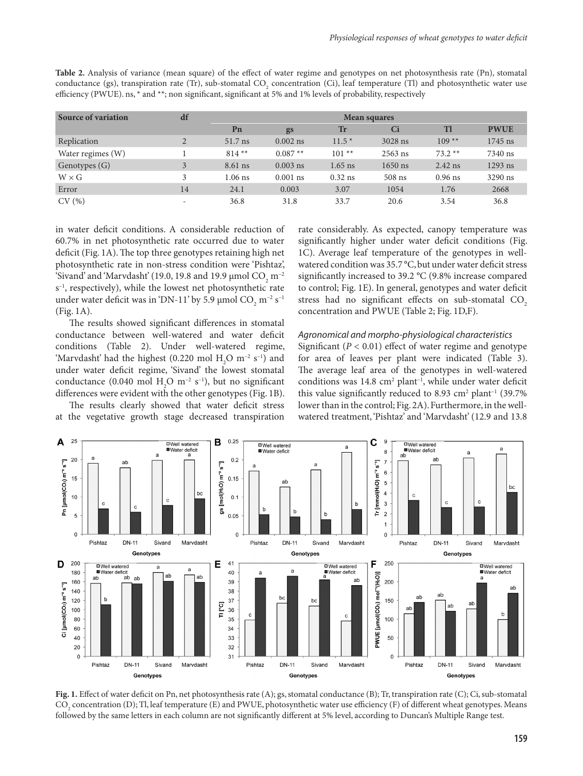| Source of variation | df                       |           | <b>Mean squares</b> |           |           |           |             |  |
|---------------------|--------------------------|-----------|---------------------|-----------|-----------|-----------|-------------|--|
|                     |                          | Pn        | gs                  | Tr        | Ci        | Tl        | <b>PWUE</b> |  |
| Replication         | $\overline{2}$           | 51.7 ns   | $0.002$ ns          | $11.5*$   | 3028 ns   | $109**$   | 1745 ns     |  |
| Water regimes (W)   |                          | $814**$   | $0.087**$           | $101**$   | $2563$ ns | $73.2**$  | 7340 ns     |  |
| Genotypes (G)       | 3                        | 8.61 ns   | $0.003$ ns          | $1.65$ ns | $1650$ ns | $2.42$ ns | $1293$ ns   |  |
| $W \times G$        | 3                        | $1.06$ ns | $0.001$ ns          | $0.32$ ns | $508$ ns  | $0.96$ ns | 3290 ns     |  |
| Error               | 14                       | 24.1      | 0.003               | 3.07      | 1054      | 1.76      | 2668        |  |
| CV(%)               | $\overline{\phantom{a}}$ | 36.8      | 31.8                | 33.7      | 20.6      | 3.54      | 36.8        |  |

**Table 2.** Analysis of variance (mean square) of the effect of water regime and genotypes on net photosynthesis rate (Pn), stomatal conductance (gs), transpiration rate (Tr), sub-stomatal CO<sub>2</sub> concentration (Ci), leaf temperature (Tl) and photosynthetic water use efficiency (PWUE). ns, \* and \*\*; non significant, significant at 5% and 1% levels of probability, respectively

in water deficit conditions. A considerable reduction of 60.7% in net photosynthetic rate occurred due to water deficit (Fig. 1A). The top three genotypes retaining high net photosynthetic rate in non-stress condition were 'Pishtaz', 'Sivand' and 'Marvdasht' (19.0, 19.8 and 19.9  $\mu$ mol CO<sub>2</sub> m<sup>-2</sup> s–1, respectively), while the lowest net photosynthetic rate under water deficit was in 'DN-11' by 5.9 µmol  $\mathrm{CO}_2^{\phantom{\dag}}$  m<sup>-2</sup> s<sup>-1</sup> (Fig. 1A).

The results showed significant differences in stomatal conductance between well-watered and water deficit conditions (Table 2). Under well-watered regime, 'Marvdasht' had the highest (0.220 mol  $H_2O$  m<sup>-2</sup> s<sup>-1</sup>) and under water deficit regime, 'Sivand' the lowest stomatal conductance (0.040 mol  $H_2O$  m<sup>-2</sup> s<sup>-1</sup>), but no significant differences were evident with the other genotypes (Fig. 1B).

The results clearly showed that water deficit stress at the vegetative growth stage decreased transpiration rate considerably. As expected, canopy temperature was significantly higher under water deficit conditions (Fig. 1C). Average leaf temperature of the genotypes in wellwatered condition was 35.7 °C, but under water deficit stress significantly increased to 39.2 °C (9.8% increase compared to control; Fig. 1E). In general, genotypes and water deficit stress had no significant effects on sub-stomatal CO<sub>2</sub> concentration and PWUE (Table 2; Fig. 1D,F).

#### *Agronomical and morpho-physiological characteristics*

Significant  $(P < 0.01)$  effect of water regime and genotype for area of leaves per plant were indicated (Table 3). The average leaf area of the genotypes in well-watered conditions was  $14.8 \text{ cm}^2$  plant<sup>-1</sup>, while under water deficit this value significantly reduced to 8.93  $\text{cm}^2$  plant<sup>-1</sup> (39.7%) lower than in the control; Fig. 2A). Furthermore, in the wellwatered treatment, 'Pishtaz' and 'Marvdasht' (12.9 and 13.8



**Fig. 1.** Effect of water deficit on Pn, net photosynthesis rate (A); gs, stomatal conductance (B); Tr, transpiration rate (C); Ci, sub-stomatal  $\mathrm{CO}_2$  concentration (D); Tl, leaf temperature (E) and PWUE, photosynthetic water use efficiency (F) of different wheat genotypes. Means followed by the same letters in each column are not significantly different at 5% level, according to Duncan's Multiple Range test.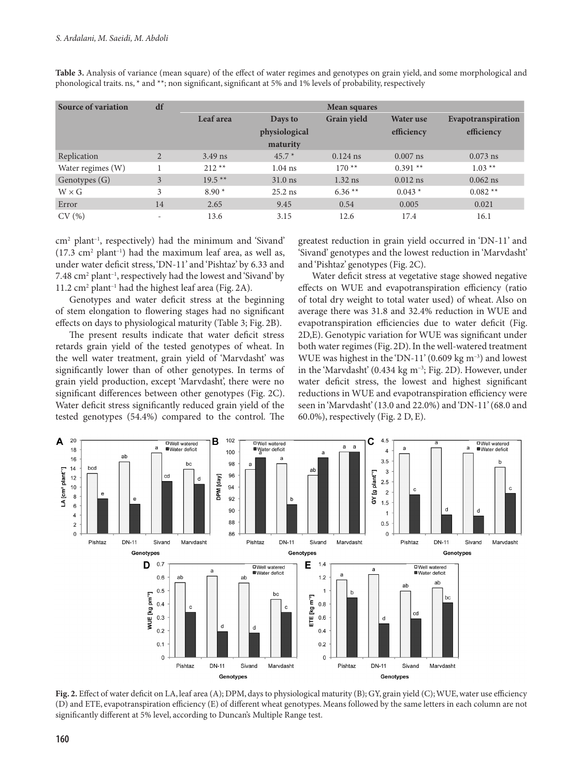| Source of variation | df                       | Mean squares |               |                    |                  |                    |
|---------------------|--------------------------|--------------|---------------|--------------------|------------------|--------------------|
|                     |                          | Leaf area    | Days to       | <b>Grain yield</b> | <b>Water</b> use | Evapotranspiration |
|                     |                          |              | physiological |                    | efficiency       | efficiency         |
|                     |                          |              | maturity      |                    |                  |                    |
| Replication         | $\overline{2}$           | $3.49$ ns    | $45.7*$       | $0.124$ ns         | $0.007$ ns       | $0.073$ ns         |
| Water regimes (W)   |                          | $212**$      | $1.04$ ns     | $170**$            | $0.391**$        | $1.03**$           |
| Genotypes (G)       | 3                        | $19.5***$    | $31.0$ ns     | $1.32$ ns          | $0.012$ ns       | $0.062$ ns         |
| $W \times G$        | 3                        | $8.90*$      | $25.2$ ns     | $6.36**$           | $0.043*$         | $0.082**$          |
| Error               | 14                       | 2.65         | 9.45          | 0.54               | 0.005            | 0.021              |
| CV(%)               | $\overline{\phantom{a}}$ | 13.6         | 3.15          | 12.6               | 17.4             | 16.1               |

**Table 3.** Analysis of variance (mean square) of the effect of water regimes and genotypes on grain yield, and some morphological and phonological traits. ns, \* and \*\*; non significant, significant at 5% and 1% levels of probability, respectively

cm2 plant–1, respectively) had the minimum and 'Sivand'  $(17.3 \text{ cm}^2 \text{ plant}^{-1})$  had the maximum leaf area, as well as, under water deficit stress, 'DN-11' and 'Pishtaz' by 6.33 and 7.48 cm<sup>2</sup> plant<sup>-1</sup>, respectively had the lowest and 'Sivand' by 11.2 cm<sup>2</sup> plant<sup>-1</sup> had the highest leaf area (Fig. 2A).

Genotypes and water deficit stress at the beginning of stem elongation to flowering stages had no significant effects on days to physiological maturity (Table 3; Fig. 2B).

The present results indicate that water deficit stress retards grain yield of the tested genotypes of wheat. In the well water treatment, grain yield of 'Marvdasht' was significantly lower than of other genotypes. In terms of grain yield production, except 'Marvdasht', there were no significant differences between other genotypes (Fig. 2C). Water deficit stress significantly reduced grain yield of the tested genotypes (54.4%) compared to the control. The greatest reduction in grain yield occurred in 'DN-11' and 'Sivand' genotypes and the lowest reduction in 'Marvdasht' and 'Pishtaz' genotypes (Fig. 2C).

Water deficit stress at vegetative stage showed negative effects on WUE and evapotranspiration efficiency (ratio of total dry weight to total water used) of wheat. Also on average there was 31.8 and 32.4% reduction in WUE and evapotranspiration efficiencies due to water deficit (Fig. 2D,E). Genotypic variation for WUE was significant under both water regimes (Fig. 2D). In the well-watered treatment WUE was highest in the 'DN-11' (0.609 kg  $m^{-3}$ ) and lowest in the 'Marvdasht' (0.434 kg m<sup>-3</sup>; Fig. 2D). However, under water deficit stress, the lowest and highest significant reductions in WUE and evapotranspiration efficiency were seen in 'Marvdasht' (13.0 and 22.0%) and 'DN-11' (68.0 and 60.0%), respectively (Fig. 2 D, E).



**Fig. 2.** Effect of water deficit on LA, leaf area (A); DPM, days to physiological maturity (B); GY, grain yield (C); WUE, water use efficiency (D) and ETE, evapotranspiration efficiency (E) of different wheat genotypes. Means followed by the same letters in each column are not significantly different at 5% level, according to Duncan's Multiple Range test.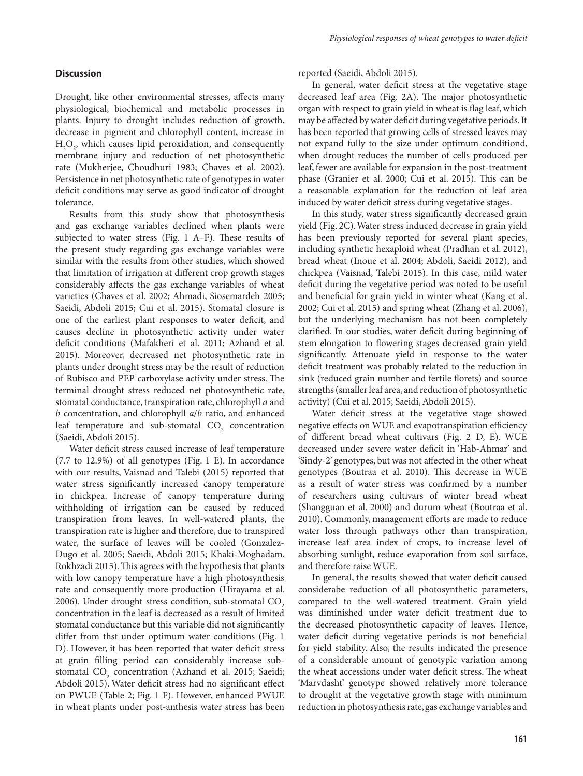#### **Discussion**

Drought, like other environmental stresses, affects many physiological, biochemical and metabolic processes in plants. Injury to drought includes reduction of growth, decrease in pigment and chlorophyll content, increase in  $H_2O_2$ , which causes lipid peroxidation, and consequently membrane injury and reduction of net photosynthetic rate (Mukherjee, Choudhuri 1983; Chaves et al. 2002). Persistence in net photosynthetic rate of genotypes in water deficit conditions may serve as good indicator of drought tolerance.

Results from this study show that photosynthesis and gas exchange variables declined when plants were subjected to water stress (Fig. 1 A–F). These results of the present study regarding gas exchange variables were similar with the results from other studies, which showed that limitation of irrigation at different crop growth stages considerably affects the gas exchange variables of wheat varieties (Chaves et al. 2002; Ahmadi, Siosemardeh 2005; Saeidi, Abdoli 2015; Cui et al. 2015). Stomatal closure is one of the earliest plant responses to water deficit, and causes decline in photosynthetic activity under water deficit conditions (Mafakheri et al. 2011; Azhand et al. 2015). Moreover, decreased net photosynthetic rate in plants under drought stress may be the result of reduction of Rubisco and PEP carboxylase activity under stress. The terminal drought stress reduced net photosynthetic rate, stomatal conductance, transpiration rate, chlorophyll *a* and *b* concentration, and chlorophyll *a*/*b* ratio, and enhanced leaf temperature and sub-stomatal  $CO_2$  concentration (Saeidi, Abdoli 2015).

Water deficit stress caused increase of leaf temperature (7.7 to 12.9%) of all genotypes (Fig. 1 E). In accordance with our results, Vaisnad and Talebi (2015) reported that water stress significantly increased canopy temperature in chickpea. Increase of canopy temperature during withholding of irrigation can be caused by reduced transpiration from leaves. In well-watered plants, the transpiration rate is higher and therefore, due to transpired water, the surface of leaves will be cooled (Gonzalez-Dugo et al. 2005; Saeidi, Abdoli 2015; Khaki-Moghadam, Rokhzadi 2015). This agrees with the hypothesis that plants with low canopy temperature have a high photosynthesis rate and consequently more production (Hirayama et al. 2006). Under drought stress condition, sub-stomatal CO<sub>2</sub> concentration in the leaf is decreased as a result of limited stomatal conductance but this variable did not significantly differ from thst under optimum water conditions (Fig. 1 D). However, it has been reported that water deficit stress at grain filling period can considerably increase substomatal  $CO_2$  concentration (Azhand et al. 2015; Saeidi; Abdoli 2015). Water deficit stress had no significant effect on PWUE (Table 2; Fig. 1 F). However, enhanced PWUE in wheat plants under post-anthesis water stress has been

reported (Saeidi, Abdoli 2015).

In general, water deficit stress at the vegetative stage decreased leaf area (Fig. 2A). The major photosynthetic organ with respect to grain yield in wheat is flag leaf, which may be affected by water deficit during vegetative periods. It has been reported that growing cells of stressed leaves may not expand fully to the size under optimum conditiond, when drought reduces the number of cells produced per leaf, fewer are available for expansion in the post-treatment phase (Granier et al. 2000; Cui et al. 2015). This can be a reasonable explanation for the reduction of leaf area induced by water deficit stress during vegetative stages.

In this study, water stress significantly decreased grain yield (Fig. 2C). Water stress induced decrease in grain yield has been previously reported for several plant species, including synthetic hexaploid wheat (Pradhan et al. 2012), bread wheat (Inoue et al. 2004; Abdoli, Saeidi 2012), and chickpea (Vaisnad, Talebi 2015). In this case, mild water deficit during the vegetative period was noted to be useful and beneficial for grain yield in winter wheat (Kang et al. 2002; Cui et al. 2015) and spring wheat (Zhang et al. 2006), but the underlying mechanism has not been completely clarified. In our studies, water deficit during beginning of stem elongation to flowering stages decreased grain yield significantly. Attenuate yield in response to the water deficit treatment was probably related to the reduction in sink (reduced grain number and fertile florets) and source strengths (smaller leaf area, and reduction of photosynthetic activity) (Cui et al. 2015; Saeidi, Abdoli 2015).

Water deficit stress at the vegetative stage showed negative effects on WUE and evapotranspiration efficiency of different bread wheat cultivars (Fig. 2 D, E). WUE decreased under severe water deficit in 'Hab-Ahmar' and 'Sindy-2' genotypes, but was not affected in the other wheat genotypes (Boutraa et al. 2010). This decrease in WUE as a result of water stress was confirmed by a number of researchers using cultivars of winter bread wheat (Shangguan et al. 2000) and durum wheat (Boutraa et al. 2010). Commonly, management efforts are made to reduce water loss through pathways other than transpiration, increase leaf area index of crops, to increase level of absorbing sunlight, reduce evaporation from soil surface, and therefore raise WUE.

In general, the results showed that water deficit caused considerabe reduction of all photosynthetic parameters, compared to the well-watered treatment. Grain yield was diminished under water deficit treatment due to the decreased photosynthetic capacity of leaves. Hence, water deficit during vegetative periods is not beneficial for yield stability. Also, the results indicated the presence of a considerable amount of genotypic variation among the wheat accessions under water deficit stress. The wheat 'Marvdasht' genotype showed relatively more tolerance to drought at the vegetative growth stage with minimum reduction in photosynthesis rate, gas exchange variables and